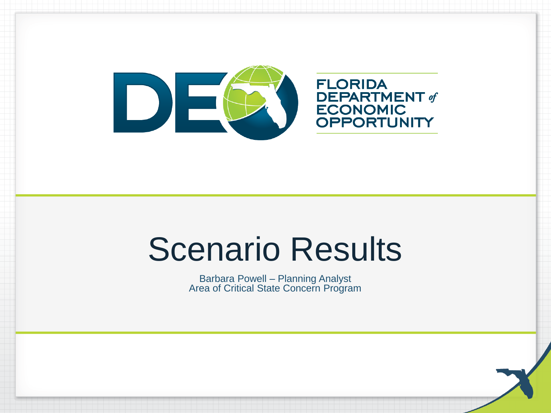

**FLORIDA** DEPARTMENT of<br>ECONOMIC<br>OPPORTUNITY

## Scenario Results

Barbara Powell – Planning Analyst Area of Critical State Concern Program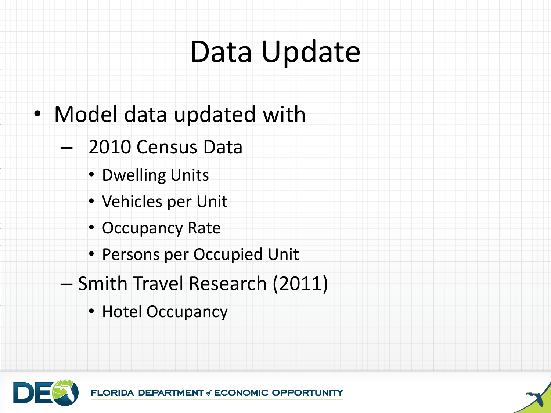## Data Update

- Model data updated with
	- 2010 Census Data
		- Dwelling Units
		- Vehicles per Unit
		- Occupancy Rate
		- Persons per Occupied Unit
	- Smith Travel Research (2011)
		- Hotel Occupancy

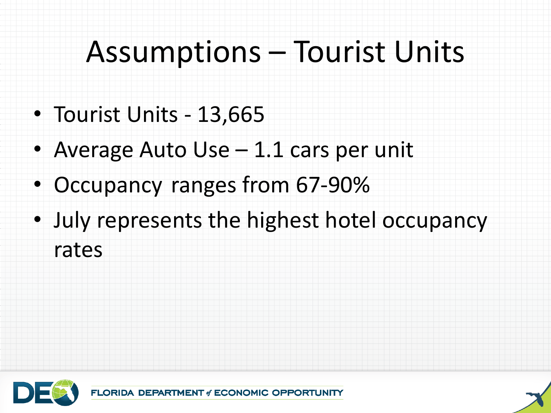## Assumptions – Tourist Units

- Tourist Units 13,665
- Average Auto Use 1.1 cars per unit
- Occupancy ranges from 67-90%
- July represents the highest hotel occupancy rates

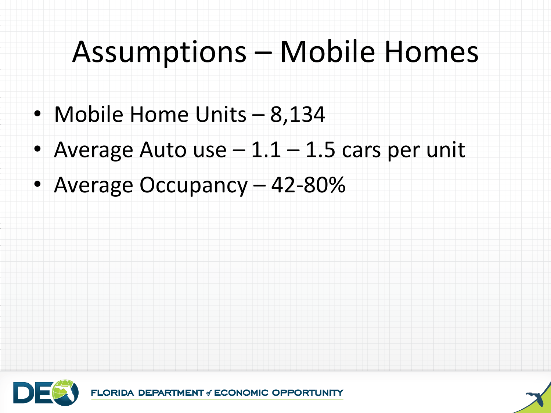### Assumptions – Mobile Homes

- Mobile Home Units 8,134
- Average Auto use  $-1.1 1.5$  cars per unit
- Average Occupancy 42-80%

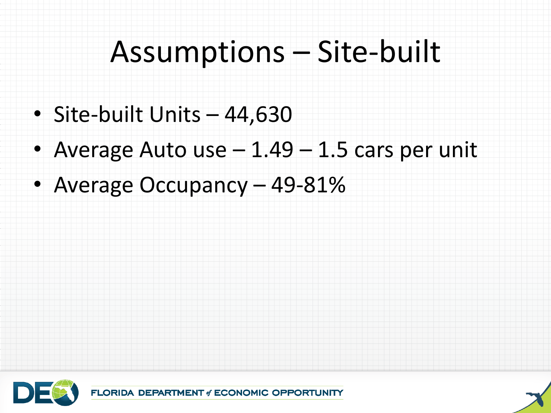## Assumptions – Site-built

- Site-built Units 44,630
- Average Auto use 1.49 1.5 cars per unit
- Average Occupancy 49-81%

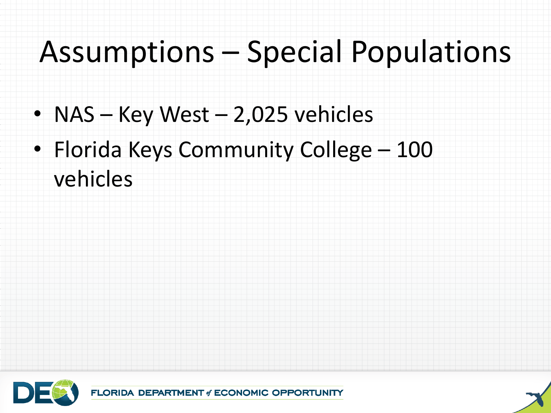## Assumptions – Special Populations

- NAS Key West 2,025 vehicles
- Florida Keys Community College 100 vehicles

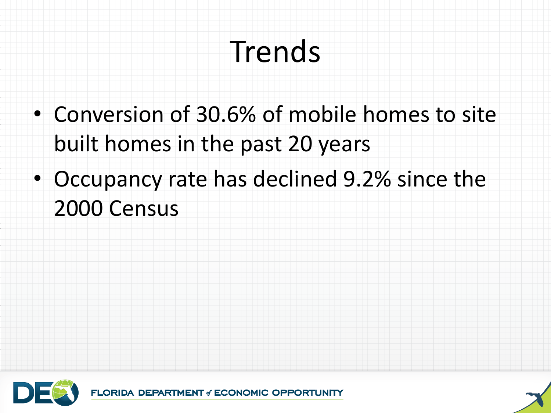# Trends

- Conversion of 30.6% of mobile homes to site built homes in the past 20 years
- Occupancy rate has declined 9.2% since the 2000 Census



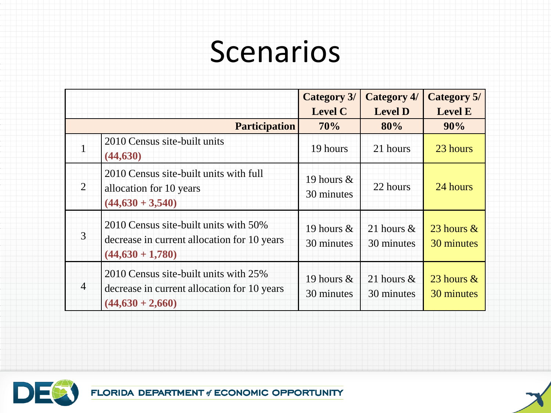|                |                                                                                                            | <b>Category 3/</b><br><b>Level C</b> | <b>Category 4/</b><br><b>Level D</b> | <b>Category 5/</b><br><b>Level E</b> |
|----------------|------------------------------------------------------------------------------------------------------------|--------------------------------------|--------------------------------------|--------------------------------------|
|                | <b>Participation</b>                                                                                       | 70%                                  | 80%                                  | 90%                                  |
| $\mathbf{1}$   | 2010 Census site-built units<br>(44, 630)                                                                  | 19 hours                             | 21 hours                             | 23 hours                             |
| $\overline{2}$ | 2010 Census site-built units with full<br>allocation for 10 years<br>$(44,630 + 3,540)$                    | 19 hours &<br>30 minutes             | 22 hours                             | 24 hours                             |
| $\mathfrak{Z}$ | 2010 Census site-built units with 50%<br>decrease in current allocation for 10 years<br>$(44,630 + 1,780)$ | 19 hours &<br>30 minutes             | 21 hours $\&$<br>30 minutes          | 23 hours $\&$<br>30 minutes          |
| $\overline{4}$ | 2010 Census site-built units with 25%<br>decrease in current allocation for 10 years<br>$(44,630 + 2,660)$ | 19 hours $&$<br>30 minutes           | 21 hours $\&$<br>30 minutes          | 23 hours $\&$<br>30 minutes          |



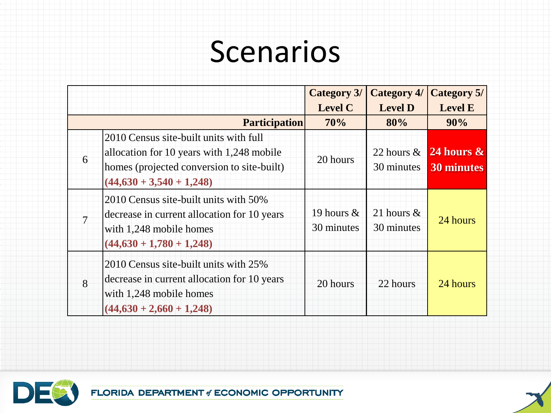|                |                                                                                                                                                                 | <b>Category 3/</b>         | <b>Category 4/</b>          | Category 5/                   |
|----------------|-----------------------------------------------------------------------------------------------------------------------------------------------------------------|----------------------------|-----------------------------|-------------------------------|
|                |                                                                                                                                                                 | <b>Level C</b>             | <b>Level D</b>              | <b>Level E</b>                |
|                | <b>Participation</b>                                                                                                                                            | 70%                        | 80%                         | 90%                           |
| 6              | 2010 Census site-built units with full<br>allocation for 10 years with 1,248 mobile<br>homes (projected conversion to site-built)<br>$(44,630 + 3,540 + 1,248)$ | 20 hours                   | 22 hours $\&$<br>30 minutes | $24$ hours $\&$<br>30 minutes |
| $\overline{7}$ | 2010 Census site-built units with 50%<br>decrease in current allocation for 10 years<br>with 1,248 mobile homes<br>$(44,630 + 1,780 + 1,248)$                   | 19 hours $&$<br>30 minutes | 21 hours $\&$<br>30 minutes | 24 hours                      |
| 8              | 2010 Census site-built units with 25%<br>decrease in current allocation for 10 years<br>with 1,248 mobile homes<br>$(44,630 + 2,660 + 1,248)$                   | 20 hours                   | 22 hours                    | 24 hours                      |



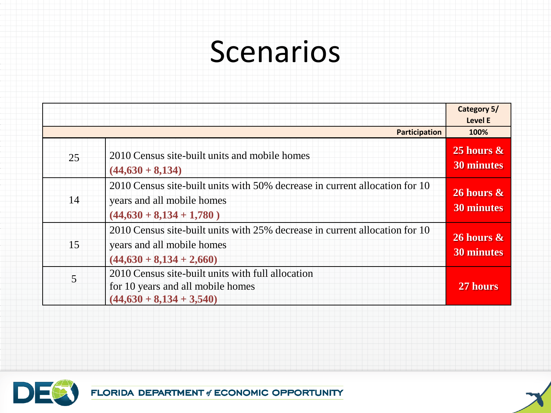|    |                                                                                                                                         | Category 5/<br><b>Level E</b>      |
|----|-----------------------------------------------------------------------------------------------------------------------------------------|------------------------------------|
|    | <b>Participation</b>                                                                                                                    | 100%                               |
| 25 | 2010 Census site-built units and mobile homes<br>$(44,630 + 8,134)$                                                                     | 25 hours $\&$<br><b>30 minutes</b> |
| 14 | 2010 Census site-built units with 50% decrease in current allocation for 10<br>years and all mobile homes<br>$(44,630 + 8,134 + 1,780)$ | 26 hours $\&$<br><b>30 minutes</b> |
| 15 | 2010 Census site-built units with 25% decrease in current allocation for 10<br>years and all mobile homes<br>$(44,630 + 8,134 + 2,660)$ | 26 hours $\&$<br><b>30 minutes</b> |
| 5  | 2010 Census site-built units with full allocation<br>for 10 years and all mobile homes<br>$(44,630 + 8,134 + 3,540)$                    | 27 hours                           |



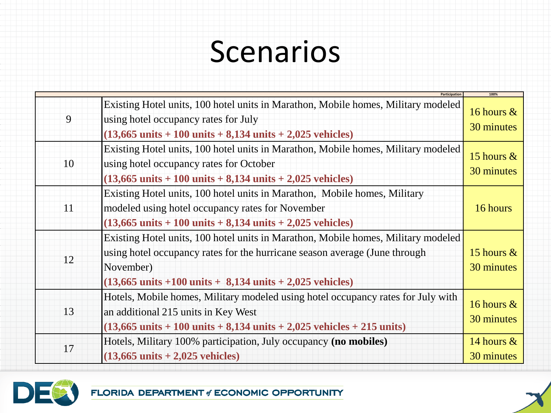|    | Participation                                                                                                                                                                                                                                                               | 100%                        |
|----|-----------------------------------------------------------------------------------------------------------------------------------------------------------------------------------------------------------------------------------------------------------------------------|-----------------------------|
| 9  | Existing Hotel units, 100 hotel units in Marathon, Mobile homes, Military modeled<br>using hotel occupancy rates for July<br>$(13,665 \text{ units} + 100 \text{ units} + 8,134 \text{ units} + 2,025 \text{ vehicles})$                                                    | 16 hours $\&$<br>30 minutes |
| 10 | Existing Hotel units, 100 hotel units in Marathon, Mobile homes, Military modeled<br>using hotel occupancy rates for October<br>$(13,665 \text{ units} + 100 \text{ units} + 8,134 \text{ units} + 2,025 \text{ vehicles})$                                                 | 15 hours $\&$<br>30 minutes |
| 11 | Existing Hotel units, 100 hotel units in Marathon, Mobile homes, Military<br>modeled using hotel occupancy rates for November<br>$(13,665 \text{ units} + 100 \text{ units} + 8,134 \text{ units} + 2,025 \text{ vehicles})$                                                | 16 hours                    |
| 12 | Existing Hotel units, 100 hotel units in Marathon, Mobile homes, Military modeled<br>using hotel occupancy rates for the hurricane season average (June through<br>November)<br>$(13,665 \text{ units} + 100 \text{ units} + 8,134 \text{ units} + 2,025 \text{ vehicles})$ | 15 hours $\&$<br>30 minutes |
| 13 | Hotels, Mobile homes, Military modeled using hotel occupancy rates for July with<br>an additional 215 units in Key West<br>$(13,665 \text{ units} + 100 \text{ units} + 8,134 \text{ units} + 2,025 \text{ vehicles} + 215 \text{ units})$                                  | 16 hours &<br>30 minutes    |
| 17 | Hotels, Military 100% participation, July occupancy (no mobiles)<br>$(13,665 \text{ units} + 2,025 \text{ vehicles})$                                                                                                                                                       | 14 hours $\&$<br>30 minutes |



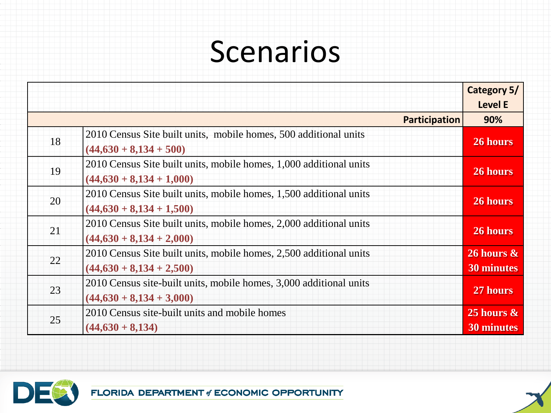|    |                                                                                                  | Category 5/<br><b>Level E</b>        |
|----|--------------------------------------------------------------------------------------------------|--------------------------------------|
|    | <b>Participation</b>                                                                             | 90%                                  |
| 18 | 2010 Census Site built units, mobile homes, 500 additional units<br>$(44,630 + 8,134 + 500)$     | 26 hours                             |
| 19 | 2010 Census Site built units, mobile homes, 1,000 additional units<br>$(44,630 + 8,134 + 1,000)$ | 26 hours                             |
| 20 | 2010 Census Site built units, mobile homes, 1,500 additional units<br>$(44,630 + 8,134 + 1,500)$ | 26 hours                             |
| 21 | 2010 Census Site built units, mobile homes, 2,000 additional units<br>$(44,630 + 8,134 + 2,000)$ | 26 hours                             |
| 22 | 2010 Census Site built units, mobile homes, 2,500 additional units<br>$(44,630 + 8,134 + 2,500)$ | $26$ hours $\&$<br><b>30 minutes</b> |
| 23 | 2010 Census site-built units, mobile homes, 3,000 additional units<br>$(44,630 + 8,134 + 3,000)$ | 27 hours                             |
| 25 | 2010 Census site-built units and mobile homes<br>$(44,630 + 8,134)$                              | 25 hours $\&$<br><b>30 minutes</b>   |



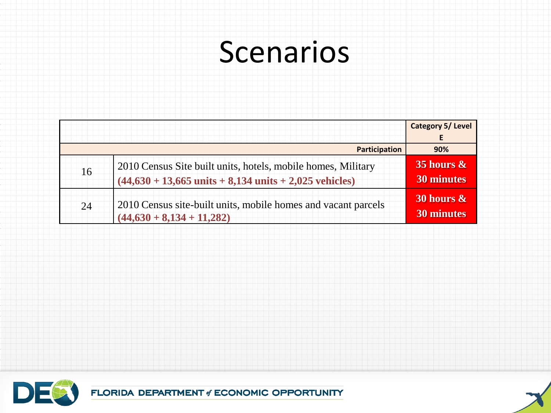|    |                                                                                                                                                  | <b>Category 5/ Level</b>           |
|----|--------------------------------------------------------------------------------------------------------------------------------------------------|------------------------------------|
|    |                                                                                                                                                  | E                                  |
|    | Participation                                                                                                                                    | 90%                                |
| 16 | 2010 Census Site built units, hotels, mobile homes, Military<br>$(44,630 + 13,665 \text{ units} + 8,134 \text{ units} + 2,025 \text{ vehicles})$ | 35 hours $\&$<br><b>30 minutes</b> |
| 24 | 2010 Census site-built units, mobile homes and vacant parcels<br>$(44,630 + 8,134 + 11,282)$                                                     | 30 hours $\&$<br>30 minutes        |